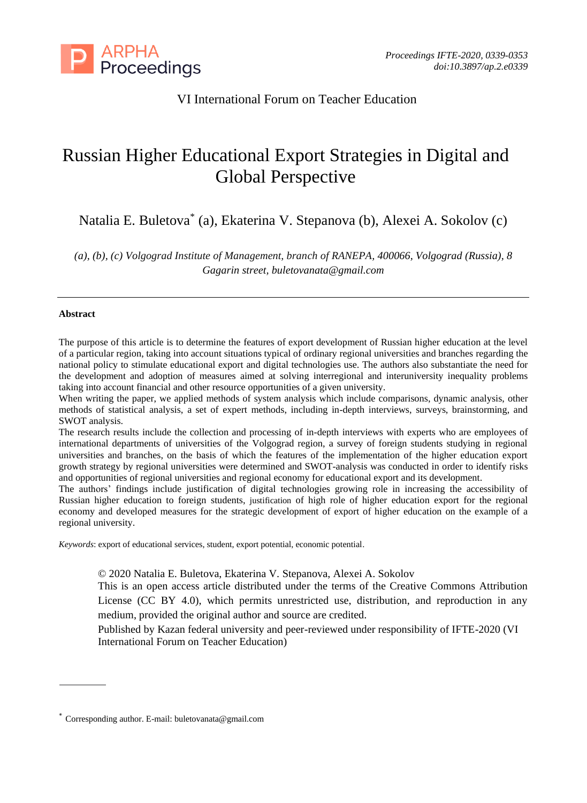

# VI International Forum on Teacher Education

# Russian Higher Educational Export Strategies in Digital and Global Perspective

Natalia E. Buletova\* (a), Ekaterina V. Stepanova (b), Alexei A. Sokolov (c)

*(a), (b), (c) Volgograd Institute of Management, branch of RANEPA, 400066, Volgograd (Russia), 8 Gagarin street, buletovanata@gmail.com*

#### **Abstract**

The purpose of this article is to determine the features of export development of Russian higher education at the level of a particular region, taking into account situations typical of ordinary regional universities and branches regarding the national policy to stimulate educational export and digital technologies use. The authors also substantiate the need for the development and adoption of measures aimed at solving interregional and interuniversity inequality problems taking into account financial and other resource opportunities of a given university.

When writing the paper, we applied methods of system analysis which include comparisons, dynamic analysis, other methods of statistical analysis, a set of expert methods, including in-depth interviews, surveys, brainstorming, and SWOT analysis.

The research results include the collection and processing of in-depth interviews with experts who are employees of international departments of universities of the Volgograd region, a survey of foreign students studying in regional universities and branches, on the basis of which the features of the implementation of the higher education export growth strategy by regional universities were determined and SWOT-analysis was conducted in order to identify risks and opportunities of regional universities and regional economy for educational export and its development.

The authors' findings include justification of digital technologies growing role in increasing the accessibility of Russian higher education to foreign students, justification of high role of higher education export for the regional economy and developed measures for the strategic development of export of higher education on the example of a regional university.

*Keywords*: export of educational services, student, export potential, economic potential.

© 2020 Natalia E. Buletova, Ekaterina V. Stepanova, Alexei A. Sokolov

This is an open access article distributed under the terms of the Creative Commons Attribution License (CC BY 4.0), which permits unrestricted use, distribution, and reproduction in any medium, provided the original author and source are credited.

Published by Kazan federal university and peer-reviewed under responsibility of IFTE-2020 (VI International Forum on Teacher Education)

<sup>\*</sup> Corresponding author. E-mail: buletovanata@gmail.com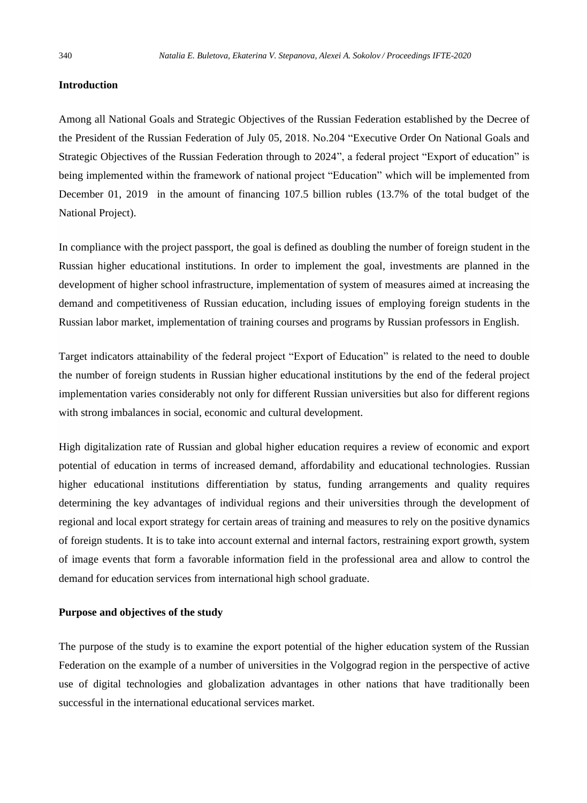#### **Introduction**

Among all National Goals and Strategic Objectives of the Russian Federation established by the Decree of the President of the Russian Federation of July 05, 2018. No.204 "Executive Order On National Goals and Strategic Objectives of the Russian Federation through to 2024", a federal project "Export of education" is being implemented within the framework of national project "Education" which will be implemented from December 01, 2019 in the amount of financing 107.5 billion rubles (13.7% of the total budget of the National Project).

In compliance with the project passport, the goal is defined as doubling the number of foreign student in the Russian higher educational institutions. In order to implement the goal, investments are planned in the development of higher school infrastructure, implementation of system of measures aimed at increasing the demand and competitiveness of Russian education, including issues of employing foreign students in the Russian labor market, implementation of training courses and programs by Russian professors in English.

Target indicators attainability of the federal project "Export of Education" is related to the need to double the number of foreign students in Russian higher educational institutions by the end of the federal project implementation varies considerably not only for different Russian universities but also for different regions with strong imbalances in social, economic and cultural development.

High digitalization rate of Russian and global higher education requires a review of economic and export potential of education in terms of increased demand, affordability and educational technologies. Russian higher educational institutions differentiation by status, funding arrangements and quality requires determining the key advantages of individual regions and their universities through the development of regional and local export strategy for certain areas of training and measures to rely on the positive dynamics of foreign students. It is to take into account external and internal factors, restraining export growth, system of image events that form a favorable information field in the professional area and allow to control the demand for education services from international high school graduate.

#### **Purpose and objectives of the study**

The purpose of the study is to examine the export potential of the higher education system of the Russian Federation on the example of a number of universities in the Volgograd region in the perspective of active use of digital technologies and globalization advantages in other nations that have traditionally been successful in the international educational services market.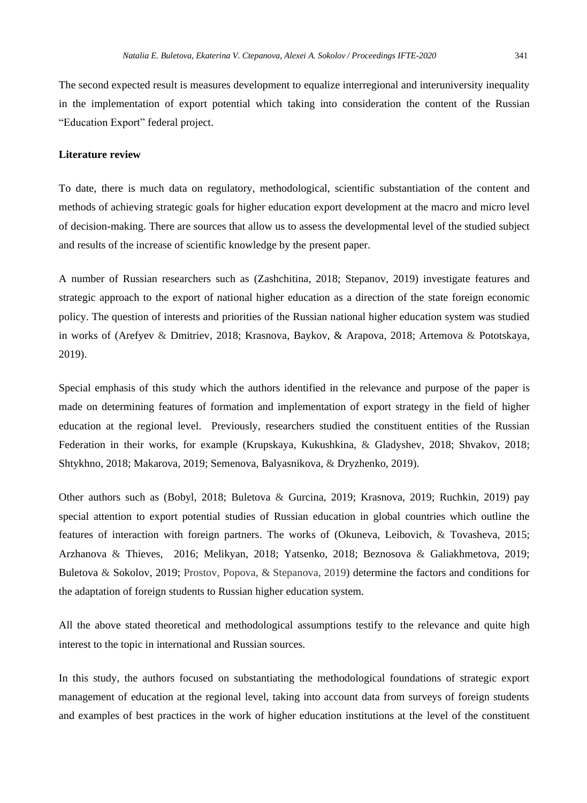The second expected result is measures development to equalize interregional and interuniversity inequality in the implementation of export potential which taking into consideration the content of the Russian "Education Export" federal project.

#### **Literature review**

To date, there is much data on regulatory, methodological, scientific substantiation of the content and methods of achieving strategic goals for higher education export development at the macro and micro level of decision-making. There are sources that allow us to assess the developmental level of the studied subject and results of the increase of scientific knowledge by the present paper.

A number of Russian researchers such as (Zashchitina, 2018; Stepanov, 2019) investigate features and strategic approach to the export of national higher education as a direction of the state foreign economic policy. The question of interests and priorities of the Russian national higher education system was studied in works of (Arefyev & Dmitriev, 2018; Krasnova, Baykov, & Arapova, 2018; Artemova & Pototskaya, 2019).

Special emphasis of this study which the authors identified in the relevance and purpose of the paper is made on determining features of formation and implementation of export strategy in the field of higher education at the regional level. Previously, researchers studied the constituent entities of the Russian Federation in their works, for example (Krupskaya, Kukushkina, & Gladyshev, 2018; Shvakov, 2018; Shtykhno, 2018; Makarova, 2019; Semenova, Balyasnikova, & Dryzhenko, 2019).

Other authors such as (Bobyl, 2018; Buletova & Gurcina, 2019; Krasnova, 2019; Ruchkin, 2019) pay special attention to export potential studies of Russian education in global countries which outline the features of interaction with foreign partners. The works of (Okuneva, Leibovich, & Tovasheva, 2015; Arzhanova & Thieves, 2016; Melikyan, 2018; Yatsenko, 2018; Beznosova & Galiakhmetova, 2019; Buletova & Sokolov, 2019; Prostov, Popova, & Stepanova, 2019) determine the factors and conditions for the adaptation of foreign students to Russian higher education system.

All the above stated theoretical and methodological assumptions testify to the relevance and quite high interest to the topic in international and Russian sources.

In this study, the authors focused on substantiating the methodological foundations of strategic export management of education at the regional level, taking into account data from surveys of foreign students and examples of best practices in the work of higher education institutions at the level of the constituent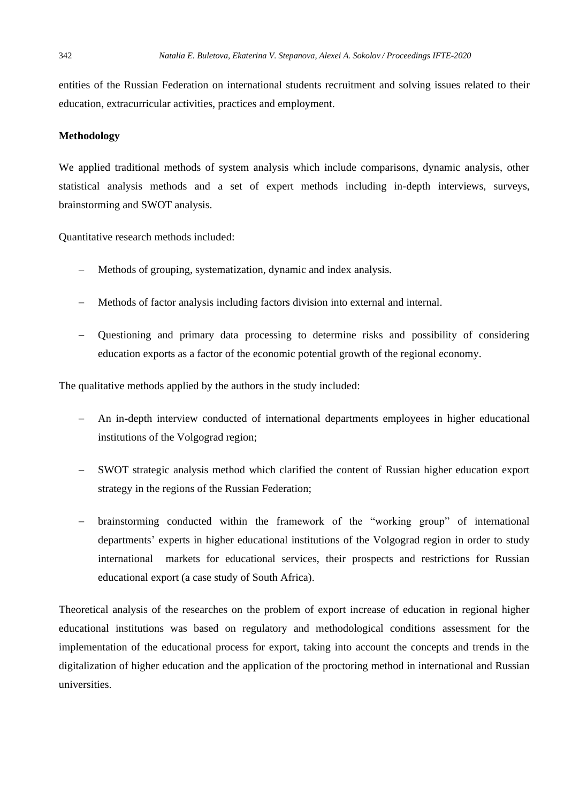entities of the Russian Federation on international students recruitment and solving issues related to their education, extracurricular activities, practices and employment.

#### **Methodology**

We applied traditional methods of system analysis which include comparisons, dynamic analysis, other statistical analysis methods and a set of expert methods including in-depth interviews, surveys, brainstorming and SWOT analysis.

Quantitative research methods included:

- Methods of grouping, systematization, dynamic and index analysis.
- − Methods of factor analysis including factors division into external and internal.
- − Questioning and primary data processing to determine risks and possibility of considering education exports as a factor of the economic potential growth of the regional economy.

The qualitative methods applied by the authors in the study included:

- − An in-depth interview conducted of international departments employees in higher educational institutions of the Volgograd region;
- SWOT strategic analysis method which clarified the content of Russian higher education export strategy in the regions of the Russian Federation;
- − brainstorming conducted within the framework of the "working group" of international departments' experts in higher educational institutions of the Volgograd region in order to study international markets for educational services, their prospects and restrictions for Russian educational export (a case study of South Africa).

Theoretical analysis of the researches on the problem of export increase of education in regional higher educational institutions was based on regulatory and methodological conditions assessment for the implementation of the educational process for export, taking into account the concepts and trends in the digitalization of higher education and the application of the proctoring method in international and Russian universities.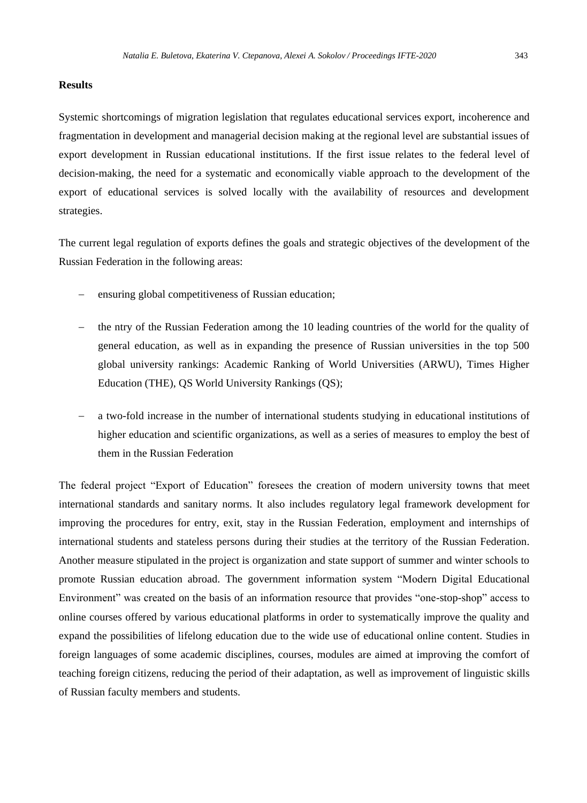### **Results**

Systemic shortcomings of migration legislation that regulates educational services export, incoherence and fragmentation in development and managerial decision making at the regional level are substantial issues of export development in Russian educational institutions. If the first issue relates to the federal level of decision-making, the need for a systematic and economically viable approach to the development of the export of educational services is solved locally with the availability of resources and development strategies.

The current legal regulation of exports defines the goals and strategic objectives of the development of the Russian Federation in the following areas:

- ensuring global competitiveness of Russian education;
- the ntry of the Russian Federation among the 10 leading countries of the world for the quality of general education, as well as in expanding the presence of Russian universities in the top 500 global university rankings: Academic Ranking of World Universities (ARWU), Times Higher Education (THE), QS World University Rankings (QS);
- a two-fold increase in the number of international students studying in educational institutions of higher education and scientific organizations, as well as a series of measures to employ the best of them in the Russian Federation

The federal project "Export of Education" foresees the creation of modern university towns that meet international standards and sanitary norms. It also includes regulatory legal framework development for improving the procedures for entry, exit, stay in the Russian Federation, employment and internships of international students and stateless persons during their studies at the territory of the Russian Federation. Another measure stipulated in the project is organization and state support of summer and winter schools to promote Russian education abroad. The government information system "Modern Digital Educational Environment" was created on the basis of an information resource that provides "one-stop-shop" access to online courses offered by various educational platforms in order to systematically improve the quality and expand the possibilities of lifelong education due to the wide use of educational online content. Studies in foreign languages of some academic disciplines, courses, modules are aimed at improving the comfort of teaching foreign citizens, reducing the period of their adaptation, as well as improvement of linguistic skills of Russian faculty members and students.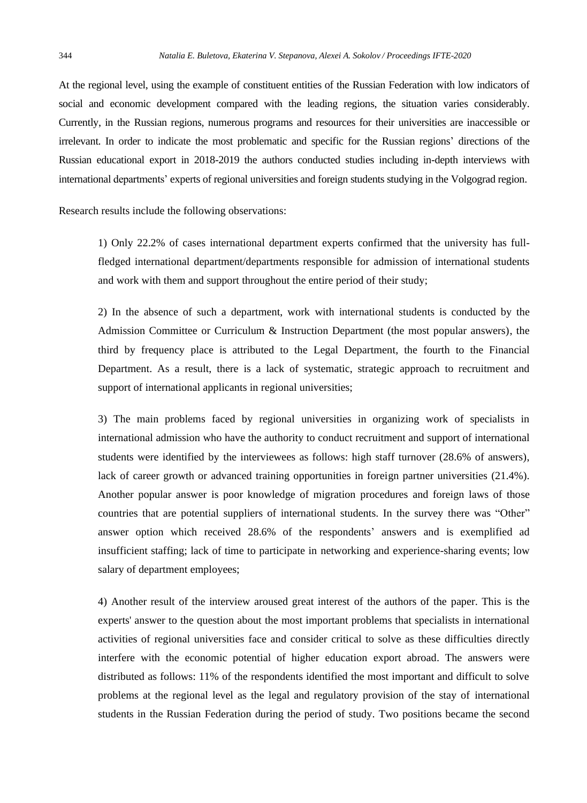At the regional level, using the example of constituent entities of the Russian Federation with low indicators of social and economic development compared with the leading regions, the situation varies considerably. Currently, in the Russian regions, numerous programs and resources for their universities are inaccessible or irrelevant. In order to indicate the most problematic and specific for the Russian regions' directions of the Russian educational export in 2018-2019 the authors conducted studies including in-depth interviews with international departments' experts of regional universities and foreign students studying in the Volgograd region.

Research results include the following observations:

1) Only 22.2% of cases international department experts confirmed that the university has fullfledged international department/departments responsible for admission of international students and work with them and support throughout the entire period of their study;

2) In the absence of such a department, work with international students is conducted by the Admission Committee or Curriculum & Instruction Department (the most popular answers), the third by frequency place is attributed to the Legal Department, the fourth to the Financial Department. As a result, there is a lack of systematic, strategic approach to recruitment and support of international applicants in regional universities;

3) The main problems faced by regional universities in organizing work of specialists in international admission who have the authority to conduct recruitment and support of international students were identified by the interviewees as follows: high staff turnover (28.6% of answers), lack of career growth or advanced training opportunities in foreign partner universities (21.4%). Another popular answer is poor knowledge of migration procedures and foreign laws of those countries that are potential suppliers of international students. In the survey there was "Other" answer option which received 28.6% of the respondents' answers and is exemplified ad insufficient staffing; lack of time to participate in networking and experience-sharing events; low salary of department employees;

4) Another result of the interview aroused great interest of the authors of the paper. This is the experts' answer to the question about the most important problems that specialists in international activities of regional universities face and consider critical to solve as these difficulties directly interfere with the economic potential of higher education export abroad. The answers were distributed as follows: 11% of the respondents identified the most important and difficult to solve problems at the regional level as the legal and regulatory provision of the stay of international students in the Russian Federation during the period of study. Two positions became the second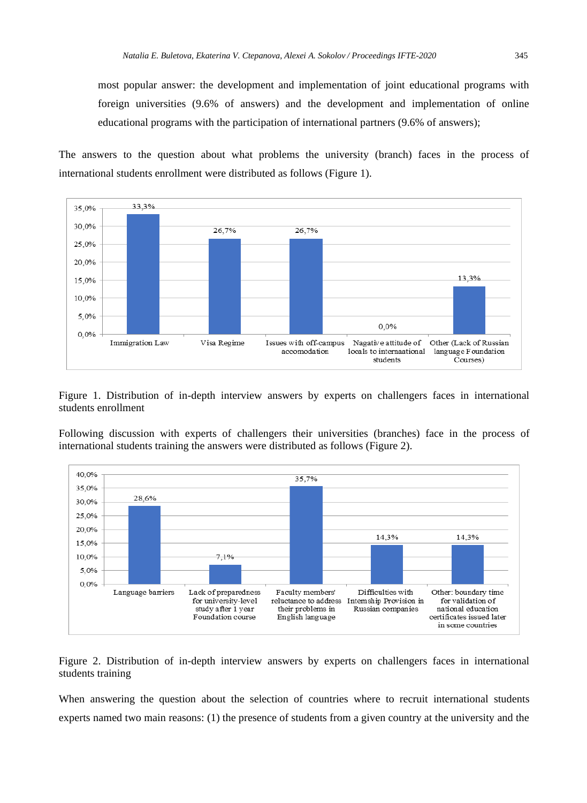most popular answer: the development and implementation of joint educational programs with foreign universities (9.6% of answers) and the development and implementation of online educational programs with the participation of international partners (9.6% of answers);

The answers to the question about what problems the university (branch) faces in the process of international students enrollment were distributed as follows (Figure 1).



Figure 1. Distribution of in-depth interview answers by experts on challengers faces in international students enrollment

Following discussion with experts of challengers their universities (branches) face in the process of international students training the answers were distributed as follows (Figure 2).



Figure 2. Distribution of in-depth interview answers by experts on challengers faces in international students training

When answering the question about the selection of countries where to recruit international students experts named two main reasons: (1) the presence of students from a given country at the university and the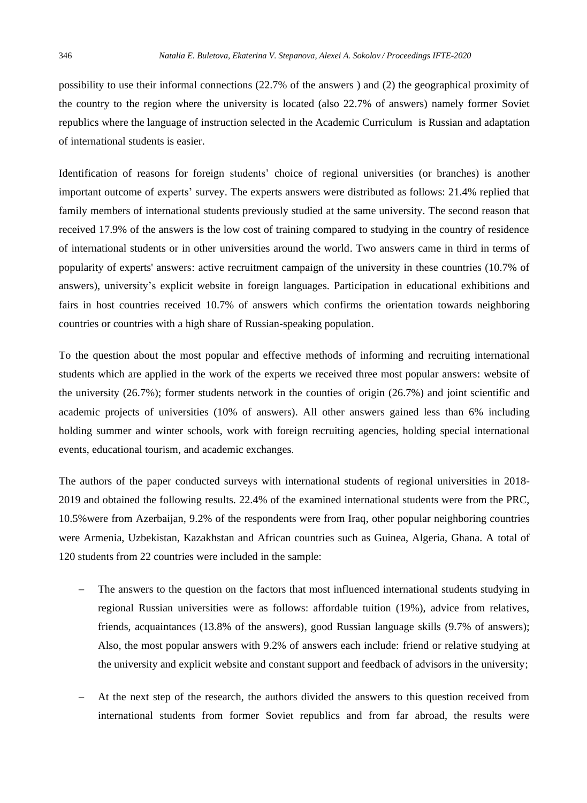possibility to use their informal connections (22.7% of the answers ) and (2) the geographical proximity of the country to the region where the university is located (also 22.7% of answers) namely former Soviet republics where the language of instruction selected in the Academic Curriculum is Russian and adaptation of international students is easier.

Identification of reasons for foreign students' choice of regional universities (or branches) is another important outcome of experts' survey. The experts answers were distributed as follows: 21.4% replied that family members of international students previously studied at the same university. The second reason that received 17.9% of the answers is the low cost of training compared to studying in the country of residence of international students or in other universities around the world. Two answers came in third in terms of popularity of experts' answers: active recruitment campaign of the university in these countries (10.7% of answers), university's explicit website in foreign languages. Participation in educational exhibitions and fairs in host countries received 10.7% of answers which confirms the orientation towards neighboring countries or countries with a high share of Russian-speaking population.

To the question about the most popular and effective methods of informing and recruiting international students which are applied in the work of the experts we received three most popular answers: website of the university (26.7%); former students network in the counties of origin (26.7%) and joint scientific and academic projects of universities (10% of answers). All other answers gained less than 6% including holding summer and winter schools, work with foreign recruiting agencies, holding special international events, educational tourism, and academic exchanges.

The authors of the paper conducted surveys with international students of regional universities in 2018- 2019 and obtained the following results. 22.4% of the examined international students were from the PRC, 10.5%were from Azerbaijan, 9.2% of the respondents were from Iraq, other popular neighboring countries were Armenia, Uzbekistan, Kazakhstan and African countries such as Guinea, Algeria, Ghana. A total of 120 students from 22 countries were included in the sample:

- The answers to the question on the factors that most influenced international students studying in regional Russian universities were as follows: affordable tuition (19%), advice from relatives, friends, acquaintances (13.8% of the answers), good Russian language skills (9.7% of answers); Also, the most popular answers with 9.2% of answers each include: friend or relative studying at the university and explicit website and constant support and feedback of advisors in the university;
- At the next step of the research, the authors divided the answers to this question received from international students from former Soviet republics and from far abroad, the results were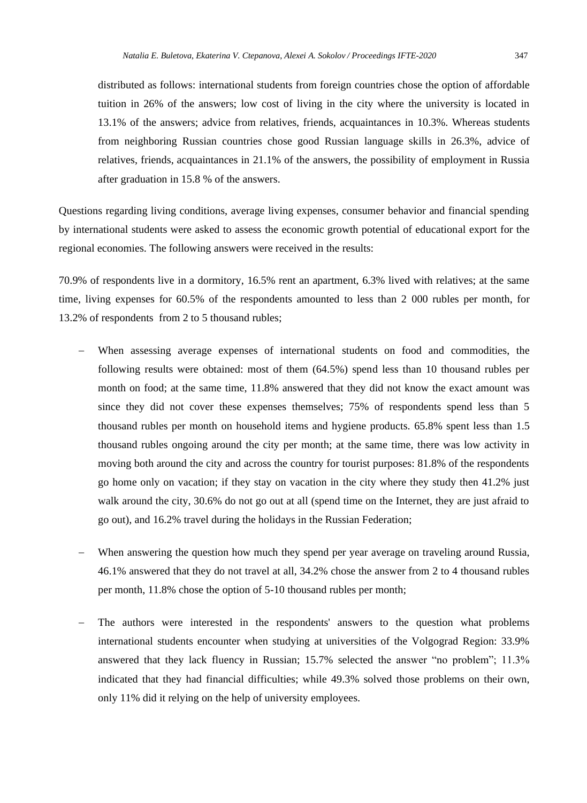tuition in 26% of the answers; low cost of living in the city where the university is located in 13.1% of the answers; advice from relatives, friends, acquaintances in 10.3%. Whereas students from neighboring Russian countries chose good Russian language skills in 26.3%, advice of relatives, friends, acquaintances in 21.1% of the answers, the possibility of employment in Russia after graduation in 15.8 % of the answers.

Questions regarding living conditions, average living expenses, consumer behavior and financial spending by international students were asked to assess the economic growth potential of educational export for the regional economies. The following answers were received in the results:

70.9% of respondents live in a dormitory, 16.5% rent an apartment, 6.3% lived with relatives; at the same time, living expenses for 60.5% of the respondents amounted to less than 2 000 rubles per month, for 13.2% of respondents from 2 to 5 thousand rubles;

- When assessing average expenses of international students on food and commodities, the following results were obtained: most of them (64.5%) spend less than 10 thousand rubles per month on food; at the same time, 11.8% answered that they did not know the exact amount was since they did not cover these expenses themselves; 75% of respondents spend less than 5 thousand rubles per month on household items and hygiene products. 65.8% spent less than 1.5 thousand rubles ongoing around the city per month; at the same time, there was low activity in moving both around the city and across the country for tourist purposes: 81.8% of the respondents go home only on vacation; if they stay on vacation in the city where they study then 41.2% just walk around the city, 30.6% do not go out at all (spend time on the Internet, they are just afraid to go out), and 16.2% travel during the holidays in the Russian Federation;
- When answering the question how much they spend per year average on traveling around Russia, 46.1% answered that they do not travel at all, 34.2% chose the answer from 2 to 4 thousand rubles per month, 11.8% chose the option of 5-10 thousand rubles per month;
- The authors were interested in the respondents' answers to the question what problems international students encounter when studying at universities of the Volgograd Region: 33.9% answered that they lack fluency in Russian; 15.7% selected the answer "no problem"; 11.3% indicated that they had financial difficulties; while 49.3% solved those problems on their own, only 11% did it relying on the help of university employees.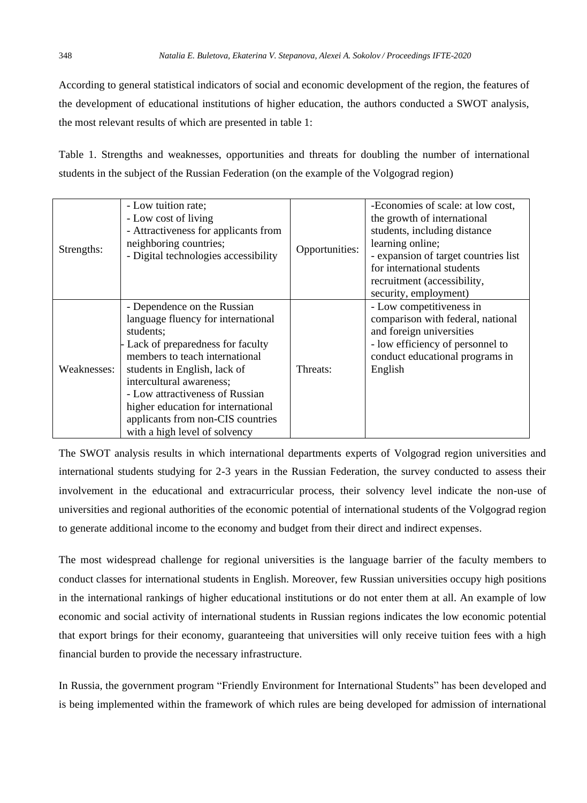According to general statistical indicators of social and economic development of the region, the features of the development of educational institutions of higher education, the authors conducted a SWOT analysis, the most relevant results of which are presented in table 1:

Table 1. Strengths and weaknesses, opportunities and threats for doubling the number of international students in the subject of the Russian Federation (on the example of the Volgograd region)

| Strengths:  | - Low tuition rate;<br>- Low cost of living<br>- Attractiveness for applicants from<br>neighboring countries;<br>- Digital technologies accessibility                                                                                                                                                                                                           | Opportunities: | -Economies of scale: at low cost,<br>the growth of international<br>students, including distance<br>learning online;<br>- expansion of target countries list<br>for international students<br>recruitment (accessibility,<br>security, employment) |
|-------------|-----------------------------------------------------------------------------------------------------------------------------------------------------------------------------------------------------------------------------------------------------------------------------------------------------------------------------------------------------------------|----------------|----------------------------------------------------------------------------------------------------------------------------------------------------------------------------------------------------------------------------------------------------|
| Weaknesses: | - Dependence on the Russian<br>language fluency for international<br>students:<br>Lack of preparedness for faculty<br>members to teach international<br>students in English, lack of<br>intercultural awareness;<br>- Low attractiveness of Russian<br>higher education for international<br>applicants from non-CIS countries<br>with a high level of solvency | Threats:       | - Low competitiveness in<br>comparison with federal, national<br>and foreign universities<br>- low efficiency of personnel to<br>conduct educational programs in<br>English                                                                        |

The SWOT analysis results in which international departments experts of Volgograd region universities and international students studying for 2-3 years in the Russian Federation, the survey conducted to assess their involvement in the educational and extracurricular process, their solvency level indicate the non-use of universities and regional authorities of the economic potential of international students of the Volgograd region to generate additional income to the economy and budget from their direct and indirect expenses.

The most widespread challenge for regional universities is the language barrier of the faculty members to conduct classes for international students in English. Moreover, few Russian universities occupy high positions in the international rankings of higher educational institutions or do not enter them at all. An example of low economic and social activity of international students in Russian regions indicates the low economic potential that export brings for their economy, guaranteeing that universities will only receive tuition fees with a high financial burden to provide the necessary infrastructure.

In Russia, the government program "Friendly Environment for International Students" has been developed and is being implemented within the framework of which rules are being developed for admission of international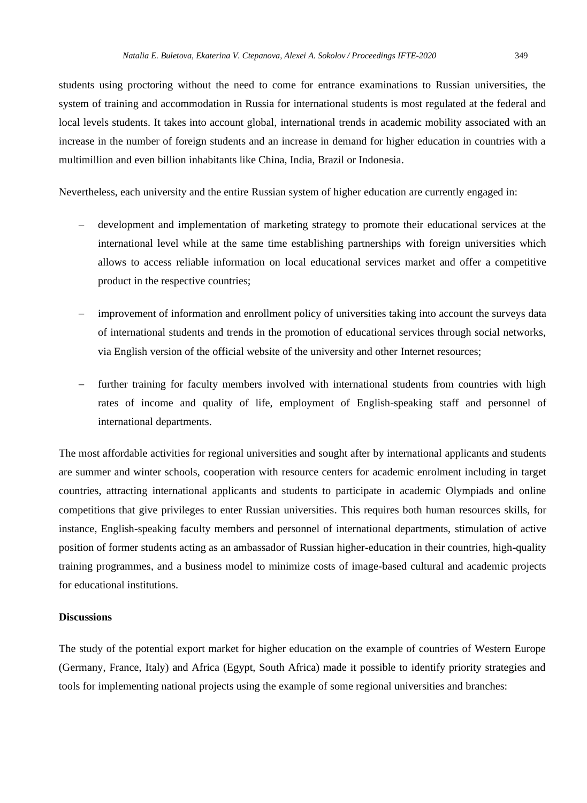students using proctoring without the need to come for entrance examinations to Russian universities, the system of training and accommodation in Russia for international students is most regulated at the federal and local levels students. It takes into account global, international trends in academic mobility associated with an increase in the number of foreign students and an increase in demand for higher education in countries with a multimillion and even billion inhabitants like China, India, Brazil or Indonesia.

Nevertheless, each university and the entire Russian system of higher education are currently engaged in:

- − development and implementation of marketing strategy to promote their educational services at the international level while at the same time establishing partnerships with foreign universities which allows to access reliable information on local educational services market and offer a competitive product in the respective countries;
- improvement of information and enrollment policy of universities taking into account the surveys data of international students and trends in the promotion of educational services through social networks, via English version of the official website of the university and other Internet resources;
- further training for faculty members involved with international students from countries with high rates of income and quality of life, employment of English-speaking staff and personnel of international departments.

The most affordable activities for regional universities and sought after by international applicants and students are summer and winter schools, cooperation with resource centers for academic enrolment including in target countries, attracting international applicants and students to participate in academic Olympiads and online competitions that give privileges to enter Russian universities. This requires both human resources skills, for instance, English-speaking faculty members and personnel of international departments, stimulation of active position of former students acting as an ambassador of Russian higher-education in their countries, high-quality training programmes, and a business model to minimize costs of image-based cultural and academic projects for educational institutions.

#### **Discussions**

The study of the potential export market for higher education on the example of countries of Western Europe (Germany, France, Italy) and Africa (Egypt, South Africa) made it possible to identify priority strategies and tools for implementing national projects using the example of some regional universities and branches: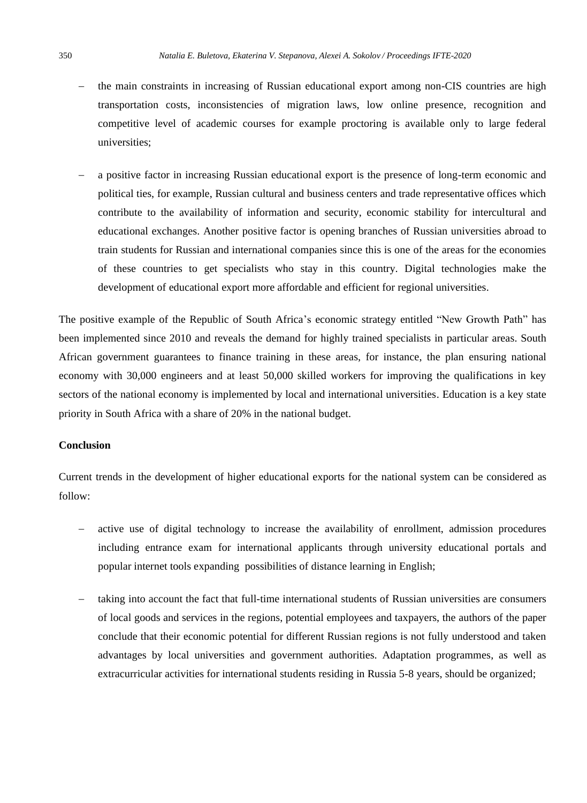- the main constraints in increasing of Russian educational export among non-CIS countries are high transportation costs, inconsistencies of migration laws, low online presence, recognition and competitive level of academic courses for example proctoring is available only to large federal universities;
- a positive factor in increasing Russian educational export is the presence of long-term economic and political ties, for example, Russian cultural and business centers and trade representative offices which contribute to the availability of information and security, economic stability for intercultural and educational exchanges. Another positive factor is opening branches of Russian universities abroad to train students for Russian and international companies since this is one of the areas for the economies of these countries to get specialists who stay in this country. Digital technologies make the development of educational export more affordable and efficient for regional universities.

The positive example of the Republic of South Africa's economic strategy entitled "New Growth Path" has been implemented since 2010 and reveals the demand for highly trained specialists in particular areas. South African government guarantees to finance training in these areas, for instance, the plan ensuring national economy with 30,000 engineers and at least 50,000 skilled workers for improving the qualifications in key sectors of the national economy is implemented by local and international universities. Education is a key state priority in South Africa with a share of 20% in the national budget.

## **Conclusion**

Current trends in the development of higher educational exports for the national system can be considered as follow:

- active use of digital technology to increase the availability of enrollment, admission procedures including entrance exam for international applicants through university educational portals and popular internet tools expanding possibilities of distance learning in English;
- taking into account the fact that full-time international students of Russian universities are consumers of local goods and services in the regions, potential employees and taxpayers, the authors of the paper conclude that their economic potential for different Russian regions is not fully understood and taken advantages by local universities and government authorities. Adaptation programmes, as well as extracurricular activities for international students residing in Russia 5-8 years, should be organized;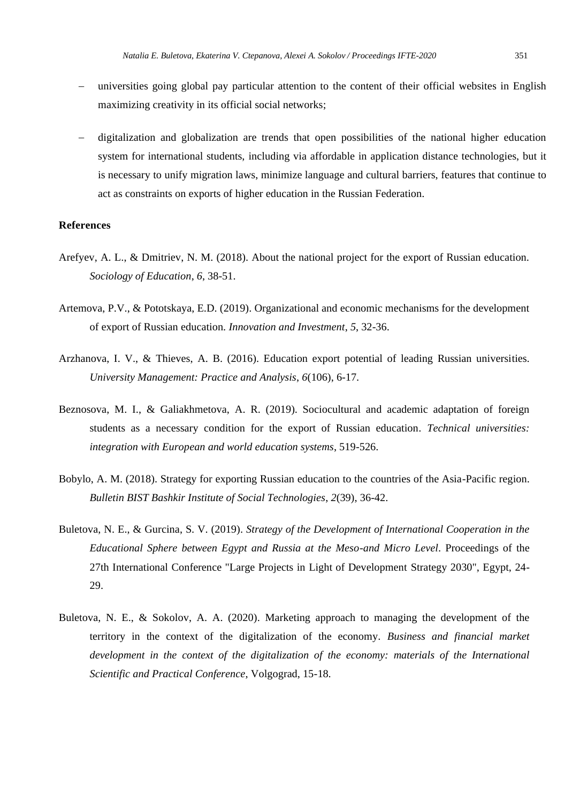- universities going global pay particular attention to the content of their official websites in English maximizing creativity in its official social networks;
- − digitalization and globalization are trends that open possibilities of the national higher education system for international students, including via affordable in application distance technologies, but it is necessary to unify migration laws, minimize language and cultural barriers, features that continue to act as constraints on exports of higher education in the Russian Federation.

#### **References**

- Arefyev, A. L., & Dmitriev, N. M. (2018). About the national project for the export of Russian education. *Sociology of Education*, *6*, 38-51.
- Artemova, P.V., & Pototskaya, E.D. (2019). Organizational and economic mechanisms for the development of export of Russian education. *Innovation and Investment*, *5*, 32-36.
- Arzhanova, I. V., & Thieves, A. B. (2016). Education export potential of leading Russian universities. *University Management: Practice and Analysis*, *6*(106), 6-17.
- Beznosova, M. I., & Galiakhmetova, A. R. (2019). Sociocultural and academic adaptation of foreign students as a necessary condition for the export of Russian education*. Technical universities: integration with European and world education systems*, 519-526.
- Bobylo, A. M. (2018). Strategy for exporting Russian education to the countries of the Asia-Pacific region. *Bulletin BIST Bashkir Institute of Social Technologies*, *2*(39), 36-42.
- Buletova, N. E., & Gurcina, S. V. (2019). *Strategy of the Development of International Cooperation in the Educational Sphere between Egypt and Russia at the Meso-and Micro Level*. Proceedings of the 27th International Conference "Large Projects in Light of Development Strategy 2030", Egypt, 24- 29.
- Buletova, N. E., & Sokolov, A. A. (2020). Marketing approach to managing the development of the territory in the context of the digitalization of the economy. *Business and financial market development in the context of the digitalization of the economy: materials of the International Scientific and Practical Conference*, Volgograd, 15-18.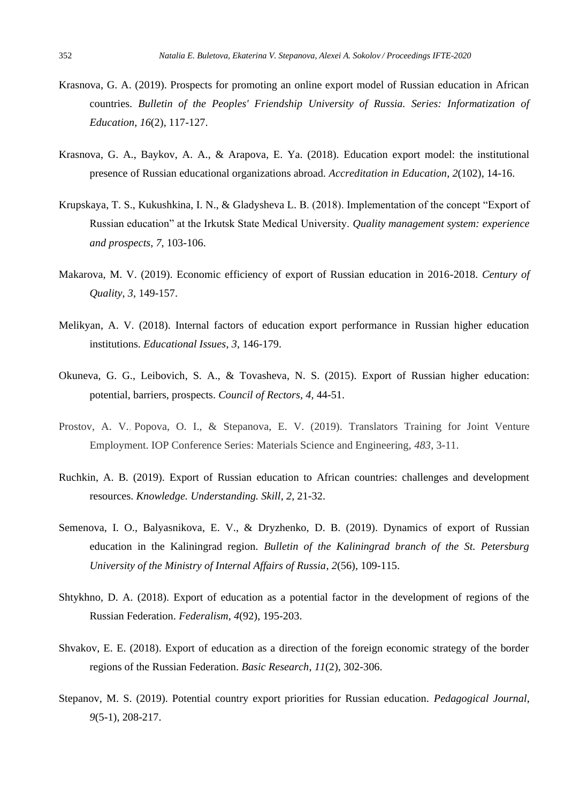- Krasnova, G. A. (2019). Prospects for promoting an online export model of Russian education in African countries. *Bulletin of the Peoples' Friendship University of Russia. Series: Informatization of Education*, *16*(2), 117-127.
- Krasnova, G. A., Baykov, A. A., & Arapova, E. Ya. (2018). Education export model: the institutional presence of Russian educational organizations abroad. *Accreditation in Education*, *2*(102), 14-16.
- Krupskaya, T. S., Kukushkina, I. N., & Gladysheva L. B. (2018). Implementation of the concept "Export of Russian education" at the Irkutsk State Medical University. *Quality management system: experience and prospects*, *7*, 103-106.
- Makarova, M. V. (2019). Economic efficiency of export of Russian education in 2016-2018. *Century of Quality*, *3*, 149-157.
- Melikyan, A. V. (2018). Internal factors of education export performance in Russian higher education institutions. *Educational Issues*, *3*, 146-179.
- Okuneva, G. G., Leibovich, S. A., & Tovasheva, N. S. (2015). Export of Russian higher education: potential, barriers, prospects. *Council of Rectors*, *4*, 44-51.
- Prostov, A. V., Popova, O. I., & Stepanova, E. V. (2019). Translators Training for Joint Venture Employment. IOP Conference Series: Materials Science and Engineering, *483*, 3-11.
- Ruchkin, A. B. (2019). Export of Russian education to African countries: challenges and development resources. *Knowledge. Understanding. Skill*, *2*, 21-32.
- Semenova, I. O., Balyasnikova, E. V., & Dryzhenko, D. B. (2019). Dynamics of export of Russian education in the Kaliningrad region. *Bulletin of the Kaliningrad branch of the St. Petersburg University of the Ministry of Internal Affairs of Russia*, *2*(56), 109-115.
- Shtykhno, D. A. (2018). Export of education as a potential factor in the development of regions of the Russian Federation. *Federalism, 4*(92), 195-203.
- Shvakov, E. E. (2018). Export of education as a direction of the foreign economic strategy of the border regions of the Russian Federation. *Basic Research*, *11*(2), 302-306.
- Stepanov, M. S. (2019). Potential country export priorities for Russian education. *Pedagogical Journal*, *9*(5-1), 208-217.